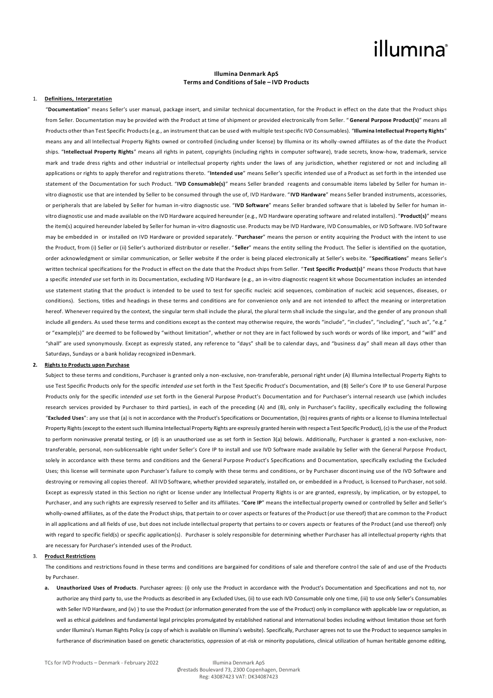## illumina®

### **Illumina Denmark ApS Terms and Conditions of Sale – IVD Products**

#### 1. **Definitions, Interpretation**

"**Documentation**" means Seller's user manual, package insert, and similar technical documentation, for the Product in effect on the date that the Product ships from Seller. Documentation may be provided with the Product at time of shipment or provided electronically from Seller. " **General Purpose Product(s)**" means all Products other than Test Specific Products (e.g., an instrument that can be used with multiple test specific IVD Consumables). "**Illumina Intellectual Property Rights**" means any and all Intellectual Property Rights owned or controlled (including under license) by Illumina or its wholly -owned affiliates as of the date the Product ships. "**Intellectual Property Rights**" means all rights in patent, copyrights (including rights in computer software), trade secrets, know-how, trademark, service mark and trade dress rights and other industrial or intellectual property rights under the laws of any jurisdiction, whether registered or not and including all applications or rights to apply therefor and registrations thereto. "**Intended use**" means Seller's specific intended use of a Product as set forth in the intended use statement of the Documentation for such Product. "**IVD Consumable(s)**" means Seller branded reagents and consumable items labeled by Seller for human invitro diagnostic use that are intended by Seller to be consumed through the use of, IVD Hardware. " **IVD Hardware**" means Seller branded instruments, accessories, or peripherals that are labeled by Seller for human in-vitro diagnostic use. "**IVD Software**" means Seller branded software that is labeled by Seller for human invitro diagnostic use and made available on the IVD Hardware acquired hereunder (e.g., IVD Hardware operating software and related installers). "**Product(s)**" means the item(s) acquired hereunder labeled by Seller for human in-vitro diagnostic use. Products may be IVD Hardware, IVD Consumables, or IVD Software. IVD Software may be embedded in or installed on IVD Hardware or provided separately. "**Purchaser**" means the person or entity acquiring the Product with the intent to use the Product, from (i) Seller or (ii) Seller's authorized distributor or reseller. " **Seller**" means the entity selling the Product. The Seller is identified on the quotation, order acknowledgment or similar communication, or Seller website if the order is being placed electronically at Seller's website. "**Specifications**" means Seller's written technical specifications for the Product in effect on the date that the Product ships from Seller. "**Test Specific Product(s)**" means those Products that have a specific *intended use* set forth in its Documentation, excluding IVD Hardware (e.g., an in-vitro diagnostic reagent kit whose Documentation includes an intended use statement stating that the product is intended to be used to test for specific nucleic acid sequences, combination of nucleic acid sequences, diseases, or conditions). Sections, titles and headings in these terms and conditions are for convenience only and are not intended to affect the meaning or interpretation hereof. Whenever required by the context, the singular term shall include the plural, the plural term shall include the singu lar, and the gender of any pronoun shall include all genders. As used these terms and conditions except as the context may otherwise require, the words "include", "in cludes", "including", "such as", "e.g." or "example(s)" are deemed to be followed by "without limitation", whether or not they are in fact followed by such words or words of like import, and "will" and "shall" are used synonymously. Except as expressly stated, any reference to "days" shall be to calendar days, and "business d ay" shall mean all days other than Saturdays, Sundays or a bank holiday recognized inDenmark.

#### **2. Rights to Products upon Purchase**

Subject to these terms and conditions, Purchaser is granted only a non-exclusive, non-transferable, personal right under (A) Illumina Intellectual Property Rights to use Test Specific Products only for the specific *intended use* set forth in the Test Specific Product's Documentation, and (B) Seller's Core IP to use General Purpose Products only for the specific i*ntended use* set forth in the General Purpose Product's Documentation and for Purchaser's internal research use (which includes research services provided by Purchaser to third parties), in each of the preceding (A) and (B), only in Purchaser's facility, specifically excluding the following "**Excluded Uses**": any use that (a) is not in accordance with the Product's Specifications or Documentation, (b) requires grants of rights or a license to Illumina Intellectual Property Rights (except to the extent such Illumina Intellectual Property Rights are expressly granted herein with respect a Test Specific Product), (c) is the use of the Product to perform noninvasive prenatal testing, or (d) is an unauthorized use as set forth in Section 3(a) belowis. Additionally, Purchaser is granted a non-exclusive, nontransferable, personal, non-sublicensable right under Seller's Core IP to install and use IVD Software made available by Seller with the General Purpose Product, solely in accordance with these terms and conditions and the General Purpose Product's Specifications and Documentation, specifically excluding the Excluded Uses; this license will terminate upon Purchaser's failure to comply with these terms and conditions, or by Purchaser discontinuing use of the IVD Software and destroying or removing all copies thereof. All IVD Software, whether provided separately, installed on, or embedded in a Product, is licensed to Purchaser, not sold. Except as expressly stated in this Section no right or license under any Intellectual Property Rights is or are granted, expressly, by implication, or by estoppel, to Purchaser, and any such rights are expressly reserved to Seller and its affiliates. "**Core IP**" means the intellectual property owned or controlled by Seller and Seller's wholly-owned affiliates, as of the date the Product ships, that pertain to or cover aspects or features of the Product (or use thereof) that are common to the Product in all applications and all fields of use, but does not include intellectual property that pertains to or covers aspects or features of the Product (and use thereof) only with regard to specific field(s) or specific application(s). Purchaser is solely responsible for determining whether Purchaser has all intellectual property rights that are necessary for Purchaser's intended uses of the Product.

### 3. **Product Restrictions**

The conditions and restrictions found in these terms and conditions are bargained for conditions of sale and therefore control the sale of and use of the Products by Purchaser.

**a. Unauthorized Uses of Products**. Purchaser agrees: (i) only use the Product in accordance with the Product's Documentation and Specifications and not to, nor authorize any third party to, use the Products as described in any Excluded Uses, (ii) to use each IVD Consumable only one time, (iii) to use only Seller's Consumables with Seller IVD Hardware, and (iv)) to use the Product (or information generated from the use of the Product) only in compliance with applicable law or regulation, as well as ethical guidelines and fundamental legal principles promulgated by established national and international bodies including without limitation those set forth under Illumina's Human Rights Policy (a copy of which is available on Illumina's website). Specifically, Purchaser agrees not to use the Product to sequence samples in furtherance of discrimination based on genetic characteristics, oppression of at-risk or minority populations, clinical utilization of human heritable genome editing,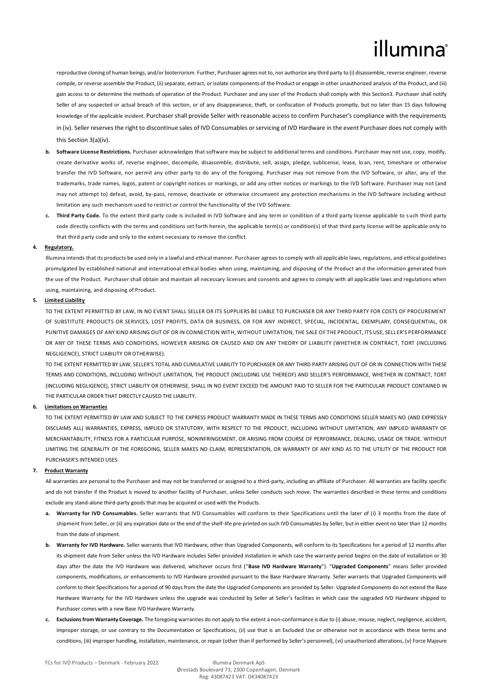# illumına

reproductive cloning of human beings, and/or bioterrorism. Further, Purchaser agrees not to, nor authorize any third party to (i) disassemble, reverse engineer, reverse compile, or reverse assemble the Product, (ii) separate, extract, or isolate components of the Product or engage in other unauthorized analysis of the Product, and (iii) gain access to or determine the methods of operation of the Product. Purchaser and any user of the Products shall comply with this Section3. Purchaser shall notify Seller of any suspected or actual breach of this section, or of any disappearance, theft, or confiscation of Products promptly, but no later than 15 days following knowledge of the applicable incident. Purchaser shall provide Seller with reasonable access to confirm Purchaser's compliance with the requirements in (iv). Seller reserves the right to discontinue sales of IVD Consumables or servicing of IVD Hardware in the event Purchaser does not comply with this Section 3(a)(iv).

- **b. Software License Restrictions.** Purchaser acknowledges that software may be subject to additional terms and conditions. Purchaser may not use, copy, modify, create derivative works of, reverse engineer, decompile, disassemble, distribute, sell, assign, pledge, sublicense, lease, lo an, rent, timeshare or otherwise transfer the IVD Software, nor permit any other party to do any of the foregoing. Purchaser may not remove from the IVD Software, or alter, any of the trademarks, trade names, logos, patent or copyright notices or markings, or add any other notices or markings to the IVD Soft ware. Purchaser may not (and may not attempt to) defeat, avoid, by-pass, remove, deactivate or otherwise circumvent any protection mechanisms in the IVD Software including without limitation any such mechanism used to restrict or control the functionality of the IVD Software.
- **c. Third Party Code.** To the extent third party code is included in IVD Software and any term or condition of a third party license applicable to such third party code directly conflicts with the terms and conditions set forth herein, the applicable term(s) or condition(s) of that third party license will be applicable only to that third party code and only to the extent necessary to remove the conflict.

### **4. Regulatory.**

Illumina intends that its products be used only in a lawful and ethical manner. Purchaser agrees to comply with all applicable laws, regulations, and ethical guidelines promulgated by established national and international ethical bodies when using, maintaining, and disposing of the Product an d the information generated from the use of the Product. Purchaser shall obtain and maintain all necessary licenses and consents and agrees to comply with all applicable laws and regulations when using, maintaining, and disposing of Product.

### **5. Limited Liability**

TO THE EXTENT PERMITTED BY LAW, IN NO EVENT SHALL SELLER OR ITS SUPPLIERS BE LIABLE TO PURCHASER OR ANY THIRD PARTY FOR COSTS OF PROCUREMENT OF SUBSTITUTE PRODUCTS OR SERVICES, LOST PROFITS, DATA OR BUSINESS, OR FOR ANY INDIRECT, SPECIAL, INCIDENTAL, EXEMPLARY, CONSEQUENTIAL, OR PUNITIVE DAMAGES OF ANY KIND ARISING OUT OF OR IN CONNECTION WITH, WITHOUT LIMITATION, THE SALE OF THE PRODUCT, ITS USE, SELLER'S PERFORMANCE OR ANY OF THESE TERMS AND CONDITIONS, HOWEVER ARISING OR CAUSED AND ON ANY THEORY OF LIABILITY (WHETHER IN CONTRACT, TORT (INCLUDING NEGLIGENCE), STRICT LIABILITY OR OTHERWISE).

TO THE EXTENT PERMITTED BY LAW, SELLER'S TOTAL AND CUMULATIVE LIABILITY TO PURCHASER OR ANY THIRD PARTY ARISING OUT OF OR IN CONNECTION WITH THESE TERMS AND CONDITIONS, INCLUDING WITHOUT LIMITATION, THE PRODUCT (INCLUDING USE THEREOF) AND SELLER'S PERFORMANCE, WHETHER IN CONTRACT, TORT (INCLUDING NEGLIGENCE), STRICT LIABILITY OR OTHERWISE, SHALL IN NO EVENT EXCEED THE AMOUNT PAID TO SELLER FOR THE PARTICULAR PRODUCT CONTAINED IN THE PARTICULAR ORDER THAT DIRECTLY CAUSED THE LIABILITY.

#### **6. Limitations on Warranties**

TO THE EXTENT PERMITTED BY LAW AND SUBJECT TO THE EXPRESS PRODUCT WARRANTY MADE IN THESE TERMS AND CONDITIONS SELLER MAKES NO (AND EXPRESSLY DISCLAIMS ALL) WARRANTIES, EXPRESS, IMPLIED OR STATUTORY, WITH RESPECT TO THE PRODUCT, INCLUDING WITHOUT LIMITATION, ANY IMPLIED WARRANTY OF MERCHANTABILITY, FITNESS FOR A PARTICULAR PURPOSE, NONINFRINGEMENT, OR ARISING FROM COURSE OF PERFORMANCE, DEALING, USAGE OR TRADE. WITHOUT LIMITING THE GENERALITY OF THE FOREGOING, SELLER MAKES NO CLAIM, REPRESENTATION, OR WARRANTY OF ANY KIND AS TO THE UTILITY OF THE PRODUCT FOR PURCHASER'S INTENDED USES.

#### **7. Product Warranty**

All warranties are personal to the Purchaser and may not be transferred or assigned to a third-party, including an affiliate of Purchaser. All warranties are facility specific and do not transfer if the Product is moved to another facility of Purchaser, unless Seller conducts such move. The warranties described in these terms and conditions exclude any stand-alone third-party goods that may be acquired or used with the Products.

- **a. Warranty for IVD Consumables.** Seller warrants that IVD Consumables will conform to their Specifications until the later of (i) 3 months from the date of shipment from Seller, or (ii) any expiration date or the end of the shelf-life pre-printed on such IVD Consumables by Seller, but in either event no later than 12 months from the date of shipment.
- **b. Warranty for IVD Hardware.** Seller warrants that IVD Hardware, other than Upgraded Components, will conform to its Specifications for a period of 12 months after its shipment date from Seller unless the IVD Hardware includes Seller provided installation in which case the warranty period begins on the date of installation or 30 days after the date the IVD Hardware was delivered, whichever occurs first ("**Base IVD Hardware Warranty**"). "**Upgraded Components**" means Seller provided components, modifications, or enhancements to IVD Hardware provided pursuant to the Base Hardware Warranty. Seller warrants that Upgraded Components will conform to their Specifications for a period of 90 days from the date the Upgraded Components are provided by Seller. Upgraded Components do not extend the Base Hardware Warranty for the IVD Hardware unless the upgrade was conducted by Seller at Seller's facilities in which case the upgraded IVD Hardware shipped to Purchaser comes with a new Base IVD Hardware Warranty.
- **c. Exclusions from Warranty Coverage.** The foregoing warranties do not apply to the extent a non-conformance is due to (i) abuse, misuse, neglect, negligence, accident, improper storage, or use contrary to the Documentation or Specifications, (ii) use that is an Excluded Use or otherwise not in accordance with these terms and conditions, (iii) improper handling, installation, maintenance, or repair (other than if performed by Seller's personnel), (vi) unauthorized alterations, (v) Force Majeure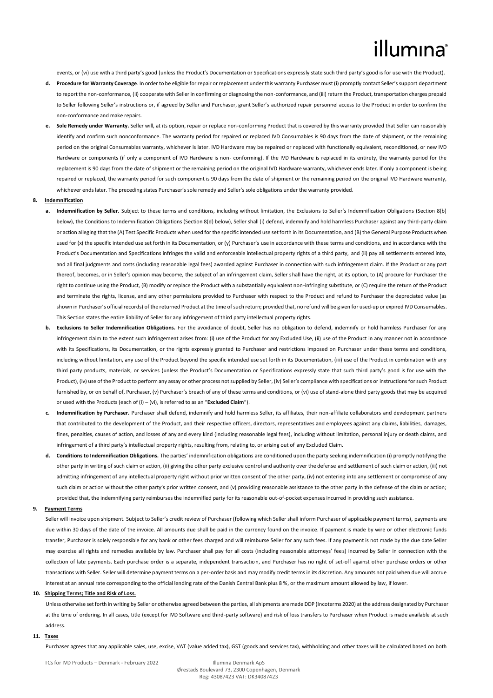## illumina

events, or (vi) use with a third party's good (unless the Product's Documentation or Specifications expressly state such third party's good is for use with the Product).

- **d. Procedure for Warranty Coverage**. In order to be eligible for repair or replacement under this warranty Purchaser must (i) promptly contact Seller's support department to report the non-conformance, (ii) cooperate with Seller in confirming or diagnosing the non-conformance, and (iii) return the Product, transportation charges prepaid to Seller following Seller's instructions or, if agreed by Seller and Purchaser, grant Seller's authorized repair personnel access to the Product in order to confirm the non-conformance and make repairs.
- **e. Sole Remedy under Warranty.** Seller will, at its option, repair or replace non-conforming Product that is covered by this warranty provided that Seller can reasonably identify and confirm such nonconformance. The warranty period for repaired or replaced IVD Consumables is 90 days from the date of shipment, or the remaining period on the original Consumables warranty, whichever is later. IVD Hardware may be repaired or replaced with functionally equivalent, reconditioned, or new IVD Hardware or components (if only a component of IVD Hardware is non- conforming). If the IVD Hardware is replaced in its entirety, the warranty period for the replacement is 90 days from the date of shipment or the remaining period on the original IVD Hardware warranty, whichever ends later. If only a component is being repaired or replaced, the warranty period for such component is 90 days from the date of shipment or the remaining period on the original IVD Hardware warranty, whichever ends later. The preceding states Purchaser's sole remedy and Seller's sole obligations under the warranty provided.

#### **8. Indemnification**

- **a. Indemnification by Seller.** Subject to these terms and conditions, including without limitation, the Exclusions to Seller's Indemnification Obligations (Section 8(b) below), the Conditions to Indemnification Obligations (Section 8(d) below), Seller shall (i) defend, indemnify and hold harmless Purchaser against any third-party claim or action alleging that the (A) Test Specific Products when used for the specific intended use set forth in its Documentation, and (B) the General Purpose Products when used for (x) the specific intended use set forth in its Documentation, or (y) Purchaser's use in accordance with these terms and conditions, and in accordance with the Product's Documentation and Specifications infringes the valid and enforceable intellectual property rights of a third party, and (ii) pay all settlements entered into, and all final judgments and costs (including reasonable legal fees) awarded against Purchaser in connection with such infringement claim. If the Product or any part thereof, becomes, or in Seller's opinion may become, the subject of an infringement claim, Seller shall have the right, at its option, to (A) procure for Purchaser the right to continue using the Product, (B) modify or replace the Product with a substantially equivalent non-infringing substitute, or (C) require the return of the Product and terminate the rights, license, and any other permissions provided to Purchaser with respect to the Product and refund to Purchaser the depreciated value (as shown in Purchaser's official records) of the returned Product at the time of such return; provided that, no refund will be given for used-up or expired IVD Consumables. This Section states the entire liability of Seller for any infringement of third party intellectual property rights.
- **b. Exclusions to Seller Indemnification Obligations.** For the avoidance of doubt, Seller has no obligation to defend, indemnify or hold harmless Purchaser for any infringement claim to the extent such infringement arises from: (i) use of the Product for any Excluded Use, (ii) use of the Product in any manner not in accordance with its Specifications, its Documentation, or the rights expressly granted to Purchaser and restrictions imposed on Purchaser under these terms and conditions, including without limitation, any use of the Product beyond the specific intended use set forth in its Documentation, (iii) use of the Product in combination with any third party products, materials, or services (unless the Product's Documentation or Specifications expressly state that such third party's good is for use with the Product), (iv) use of the Product to perform any assay or other process not supplied by Seller, (iv) Seller's compliance with specifications or instructions for such Product furnished by, or on behalf of, Purchaser, (v) Purchaser's breach of any of these terms and conditions, or (vi) use of stand-alone third party goods that may be acquired or used with the Products (each of (i) – (vi), is referred to as an "**Excluded Claim**").
- **c. Indemnification by Purchaser.** Purchaser shall defend, indemnify and hold harmless Seller, its affiliates, their non-affiliate collaborators and development partners that contributed to the development of the Product, and their respective officers, directors, representatives and employees against any claims, liabilities, damages, fines, penalties, causes of action, and losses of any and every kind (including reasonable legal fees), including without limitation, personal injury or death claims, and infringement of a third party's intellectual property rights, resulting from, relating to, or arising out of any Excluded Claim.
- **d. Conditions to Indemnification Obligations.** The parties' indemnification obligations are conditioned upon the party seeking indemnification (i) promptly notifying the other party in writing of such claim or action, (ii) giving the other party exclusive control and authority over the defense and settlement of such claim or action, (iii) not admitting infringement of any intellectual property right without prior written consent of the other party, (iv) not entering into any settlement or compromise of any such claim or action without the other party's prior written consent, and (v) providing reasonable assistance to the other party in the defense of the claim or action; provided that, the indemnifying party reimburses the indemnified party for its reasonable out-of-pocket expenses incurred in providing such assistance.

#### **9. Payment Terms**

Seller will invoice upon shipment. Subject to Seller's credit review of Purchaser (following which Seller shall inform Purchaser of applicable payment terms), payments are due within 30 days of the date of the invoice. All amounts due shall be paid in the currency found on the invoice. If payment is made by wire or other electronic funds transfer, Purchaser is solely responsible for any bank or other fees charged and will reimburse Seller for any such fees. If any payment is not made by the due date Seller may exercise all rights and remedies available by law. Purchaser shall pay for all costs (including reasonable attorneys' fees) incurred by Seller in connection with the collection of late payments. Each purchase order is a separate, independent transaction, and Purchaser has no right of set-off against other purchase orders or other transactions with Seller. Seller will determine payment terms on a per-order basis and may modify credit terms in its discretion. Any amounts not paid when due will accrue interest at an annual rate corresponding to the official lending rate of the Danish Central Bank plus 8 %, or the maximum amount allowed by law, if lower.

### **10. Shipping Terms; Title and Risk of Loss.**

Unless otherwise set forth in writing by Seller or otherwise agreed between the parties, all shipments are made DDP (Incoterms 2020) at the address designated by Purchaser at the time of ordering. In all cases, title (except for IVD Software and third-party software) and risk of loss transfers to Purchaser when Product is made available at such address.

#### **11. Taxes**

Purchaser agrees that any applicable sales, use, excise, VAT (value added tax), GST (goods and services tax), withholding and other taxes will be calculated based on both

TCs for IVD Products – Denmark - February 2022 Illumina Denmark ApS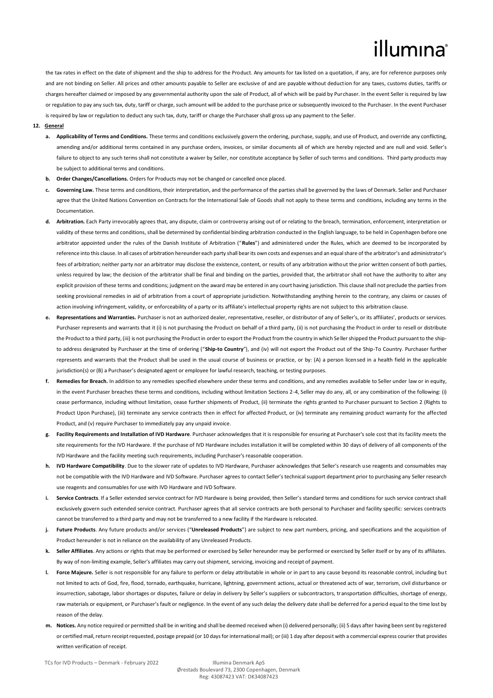## illumına

the tax rates in effect on the date of shipment and the ship to address for the Product. Any amounts for tax listed on a quotation, if any, are for reference purposes only and are not binding on Seller. All prices and other amounts payable to Seller are exclusive of and are payable without deduction for any taxes, customs duties, tariffs or charges hereafter claimed or imposed by any governmental authority upon the sale of Product, all of which will be paid by Purchaser. In the event Seller is required by law or regulation to pay any such tax, duty, tariff or charge, such amount will be added to the purchase price or subsequently invoiced to the Purchaser. In the event Purchaser is required by law or regulation to deduct any such tax, duty, tariff or charge the Purchaser shall gross up any payment to the Seller.

### **12. General**

- **a. Applicability of Terms and Conditions.** These terms and conditions exclusively govern the ordering, purchase, supply, and use of Product, and override any conflicting, amending and/or additional terms contained in any purchase orders, invoices, or similar documents all of which are hereby rejected and are null and void. Seller's failure to object to any such terms shall not constitute a waiver by Seller, nor constitute acceptance by Seller of such terms and conditions. Third party products may be subject to additional terms and conditions.
- **b. Order Changes/Cancellations.** Orders for Products may not be changed or cancelled once placed.
- Governing Law. These terms and conditions, their interpretation, and the performance of the parties shall be governed by the laws of Denmark. Seller and Purchaser agree that the United Nations Convention on Contracts for the International Sale of Goods shall not apply to these terms and conditions, including any terms in the Documentation.
- **d. Arbitration.** Each Party irrevocably agrees that, any dispute, claim or controversy arising out of or relating to the breach, termination, enforcement, interpretation or validity of these terms and conditions, shall be determined by confidential binding arbitration conducted in the English language, to be held in Copenhagen before one arbitrator appointed under the rules of the Danish Institute of Arbitration ("**Rules**") and administered under the Rules, which are deemed to be incorporated by reference into this clause. In all cases of arbitration hereunder each party shall bear its own costs and expenses and an equal share of the arbitrator's and administrator's fees of arbitration; neither party nor an arbitrator may disclose the existence, content, or results of any arbitration without the prior written consent of both parties. unless required by law; the decision of the arbitrator shall be final and binding on the parties, provided that, the arbitrator shall not have the authority to alter any explicit provision of these terms and conditions; judgment on the award may be entered in any court having jurisdiction. This clause shall not preclude the parties from seeking provisional remedies in aid of arbitration from a court of appropriate jurisdiction. Notwithstanding anything herein to the contrary, any claims or causes of action involving infringement, validity, or enforceability of a party or its affiliate's intellectual property rights are not subject to this arbitration clause.
- **e. Representations and Warranties.** Purchaser is not an authorized dealer, representative, reseller, or distributor of any of Seller's, or its affiliates', products or services. Purchaser represents and warrants that it (i) is not purchasing the Product on behalf of a third party, (ii) is not purchasing the Product in order to resell or distribute the Product to a third party, (iii) is not purchasing the Product in order to export the Product from the country in which Seller shipped the Product pursuant to the shipto address designated by Purchaser at the time of ordering ("**Ship-to Country**"), and (iv) will not export the Product out of the Ship-To Country. Purchaser further represents and warrants that the Product shall be used in the usual course of business or practice, or by: (A) a person licensed in a health field in the applicable jurisdiction(s) or (B) a Purchaser's designated agent or employee for lawful research, teaching, or testing purposes.
- **f. Remedies for Breach.** In addition to any remedies specified elsewhere under these terms and conditions, and any remedies available to Seller under law or in equity, in the event Purchaser breaches these terms and conditions, including without limitation Sections 2-4, Seller may do any, all, or any combination of the following: (i) cease performance, including without limitation, cease further shipments of Product, (ii) terminate the rights granted to Purchaser pursuant to Section 2 (Rights to Product Upon Purchase), (iii) terminate any service contracts then in effect for affected Product, or (iv) terminate any remaining product warranty for the affected Product, and (v) require Purchaser to immediately pay any unpaid invoice.
- **g. Facility Requirements and Installation of IVD Hardware**. Purchaser acknowledges that it is responsible for ensuring at Purchaser's sole cost that its facility meets the site requirements for the IVD Hardware. If the purchase of IVD Hardware includes installation it will be completed within 30 days of delivery of all components of the IVD Hardware and the facility meeting such requirements, including Purchaser's reasonable cooperation.
- **h. IVD Hardware Compatibility**. Due to the slower rate of updates to IVD Hardware, Purchaser acknowledges that Seller's research use reagents and consumables may not be compatible with the IVD Hardware and IVD Software. Purchaser agrees to contact Seller's technical support department prior to purchasing any Seller research use reagents and consumables for use with IVD Hardware and IVD Software.
- **i. Service Contracts**. If a Seller extended service contract for IVD Hardware is being provided, then Seller's standard terms and conditions for such service contract shall exclusively govern such extended service contract. Purchaser agrees that all service contracts are both personal to Purchaser and facility specific: services contracts cannot be transferred to a third party and may not be transferred to a new facility if the Hardware is relocated.
- **j. Future Products**. Any future products and/or services ("**Unreleased Products**") are subject to new part numbers, pricing, and specifications and the acquisition of Product hereunder is not in reliance on the availability of any Unreleased Products.
- **k. Seller Affiliates**. Any actions or rights that may be performed or exercised by Seller hereunder may be performed or exercised by Seller itself or by any of its affiliates. By way of non-limiting example, Seller's affiliates may carry out shipment, servicing, invoicing and receipt of payment.
- **l. Force Majeure.** Seller is not responsible for any failure to perform or delay attributable in whole or in part to any cause beyond its reasonable control, including but not limited to acts of God, fire, flood, tornado, earthquake, hurricane, lightning, government actions, actual or threatened acts of war, terrorism, civil disturbance or insurrection, sabotage, labor shortages or disputes, failure or delay in delivery by Seller's suppliers or subcontractors, transportation difficulties, shortage of energy, raw materials or equipment, or Purchaser's fault or negligence. In the event of any such delay the delivery date shall be deferred for a period equal to the time lost by reason of the delay.
- **m. Notices.** Any notice required or permitted shall be in writing and shall be deemed received when (i) delivered personally; (ii) 5 days after having been sent by registered or certified mail, return receipt requested, postage prepaid (or 10 days for international mail); or (iii) 1 day after deposit with a commercial express courier that provides written verification of receipt.